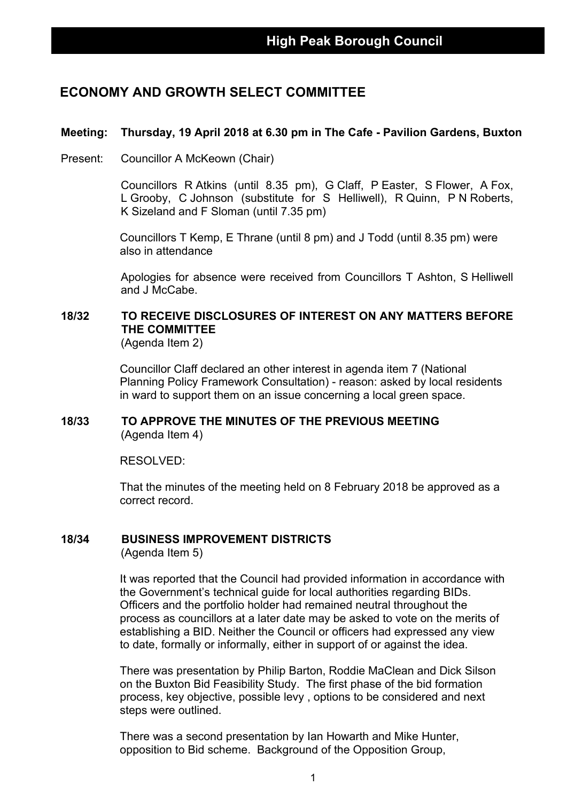### **ECONOMY AND GROWTH SELECT COMMITTEE**

#### **Meeting: Thursday, 19 April 2018 at 6.30 pm in The Cafe - Pavilion Gardens, Buxton**

Present: Councillor A McKeown (Chair)

Councillors R Atkins (until 8.35 pm), G Claff, P Easter, S Flower, A Fox, L Grooby, C Johnson (substitute for S Helliwell), R Quinn, P N Roberts, K Sizeland and F Sloman (until 7.35 pm)

Councillors T Kemp, E Thrane (until 8 pm) and J Todd (until 8.35 pm) were also in attendance

Apologies for absence were received from Councillors T Ashton, S Helliwell and J McCabe.

## **18/32 TO RECEIVE DISCLOSURES OF INTEREST ON ANY MATTERS BEFORE THE COMMITTEE**

(Agenda Item 2)

Councillor Claff declared an other interest in agenda item 7 (National Planning Policy Framework Consultation) - reason: asked by local residents in ward to support them on an issue concerning a local green space.

#### **18/33 TO APPROVE THE MINUTES OF THE PREVIOUS MEETING** (Agenda Item 4)

RESOLVED:

That the minutes of the meeting held on 8 February 2018 be approved as a correct record.

#### **18/34 BUSINESS IMPROVEMENT DISTRICTS**

(Agenda Item 5)

It was reported that the Council had provided information in accordance with the Government's technical guide for local authorities regarding BIDs. Officers and the portfolio holder had remained neutral throughout the process as councillors at a later date may be asked to vote on the merits of establishing a BID. Neither the Council or officers had expressed any view to date, formally or informally, either in support of or against the idea.

There was presentation by Philip Barton, Roddie MaClean and Dick Silson on the Buxton Bid Feasibility Study. The first phase of the bid formation process, key objective, possible levy , options to be considered and next steps were outlined.

There was a second presentation by Ian Howarth and Mike Hunter, opposition to Bid scheme. Background of the Opposition Group,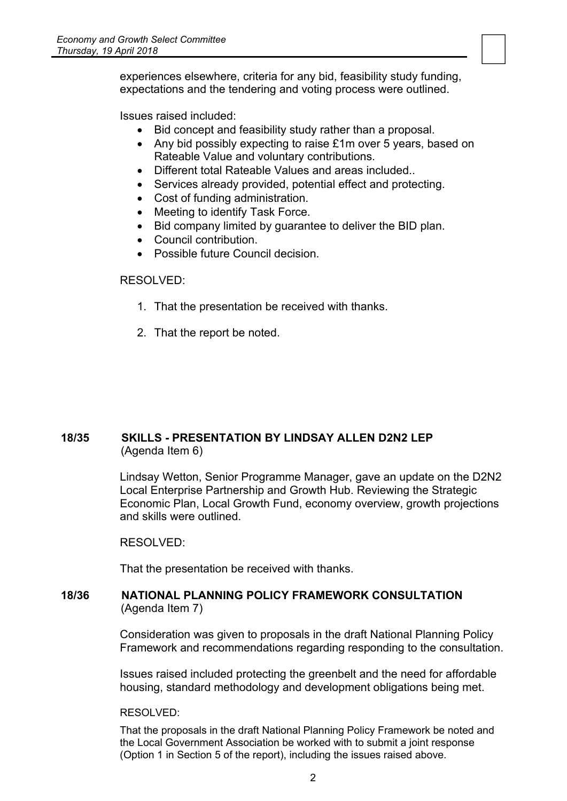experiences elsewhere, criteria for any bid, feasibility study funding, expectations and the tendering and voting process were outlined.

Issues raised included:

- Bid concept and feasibility study rather than a proposal.
- Any bid possibly expecting to raise £1m over 5 years, based on Rateable Value and voluntary contributions.

- Different total Rateable Values and areas included..
- Services already provided, potential effect and protecting.
- Cost of funding administration.
- Meeting to identify Task Force.
- Bid company limited by guarantee to deliver the BID plan.
- Council contribution.
- Possible future Council decision.

#### RESOLVED:

- 1. That the presentation be received with thanks.
- 2. That the report be noted.

#### **18/35 SKILLS - PRESENTATION BY LINDSAY ALLEN D2N2 LEP** (Agenda Item 6)

Lindsay Wetton, Senior Programme Manager, gave an update on the D2N2 Local Enterprise Partnership and Growth Hub. Reviewing the Strategic Economic Plan, Local Growth Fund, economy overview, growth projections and skills were outlined.

RESOLVED:

That the presentation be received with thanks.

#### **18/36 NATIONAL PLANNING POLICY FRAMEWORK CONSULTATION** (Agenda Item 7)

Consideration was given to proposals in the draft National Planning Policy Framework and recommendations regarding responding to the consultation.

Issues raised included protecting the greenbelt and the need for affordable housing, standard methodology and development obligations being met.

RESOLVED:

That the proposals in the draft National Planning Policy Framework be noted and the Local Government Association be worked with to submit a joint response (Option 1 in Section 5 of the report), including the issues raised above.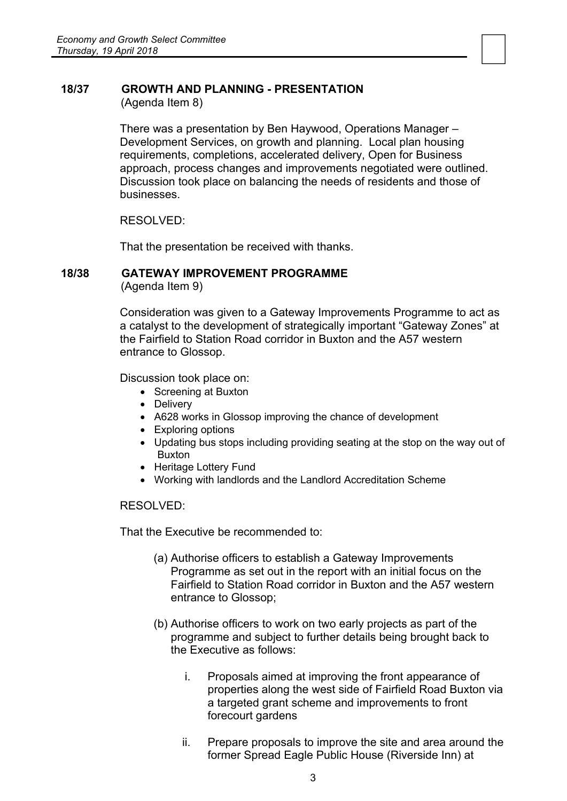# **18/37 GROWTH AND PLANNING - PRESENTATION**

(Agenda Item 8)

There was a presentation by Ben Haywood, Operations Manager – Development Services, on growth and planning. Local plan housing requirements, completions, accelerated delivery, Open for Business approach, process changes and improvements negotiated were outlined. Discussion took place on balancing the needs of residents and those of businesses.

RESOLVED:

That the presentation be received with thanks.

#### **18/38 GATEWAY IMPROVEMENT PROGRAMME**

(Agenda Item 9)

Consideration was given to a Gateway Improvements Programme to act as a catalyst to the development of strategically important "Gateway Zones" at the Fairfield to Station Road corridor in Buxton and the A57 western entrance to Glossop.

Discussion took place on:

- Screening at Buxton
- Delivery
- A628 works in Glossop improving the chance of development
- Exploring options
- Updating bus stops including providing seating at the stop on the way out of Buxton
- Heritage Lottery Fund
- Working with landlords and the Landlord Accreditation Scheme

RESOLVED:

That the Executive be recommended to:

- (a) Authorise officers to establish a Gateway Improvements Programme as set out in the report with an initial focus on the Fairfield to Station Road corridor in Buxton and the A57 western entrance to Glossop;
- (b) Authorise officers to work on two early projects as part of the programme and subject to further details being brought back to the Executive as follows:
	- i. Proposals aimed at improving the front appearance of properties along the west side of Fairfield Road Buxton via a targeted grant scheme and improvements to front forecourt gardens
	- ii. Prepare proposals to improve the site and area around the former Spread Eagle Public House (Riverside Inn) at